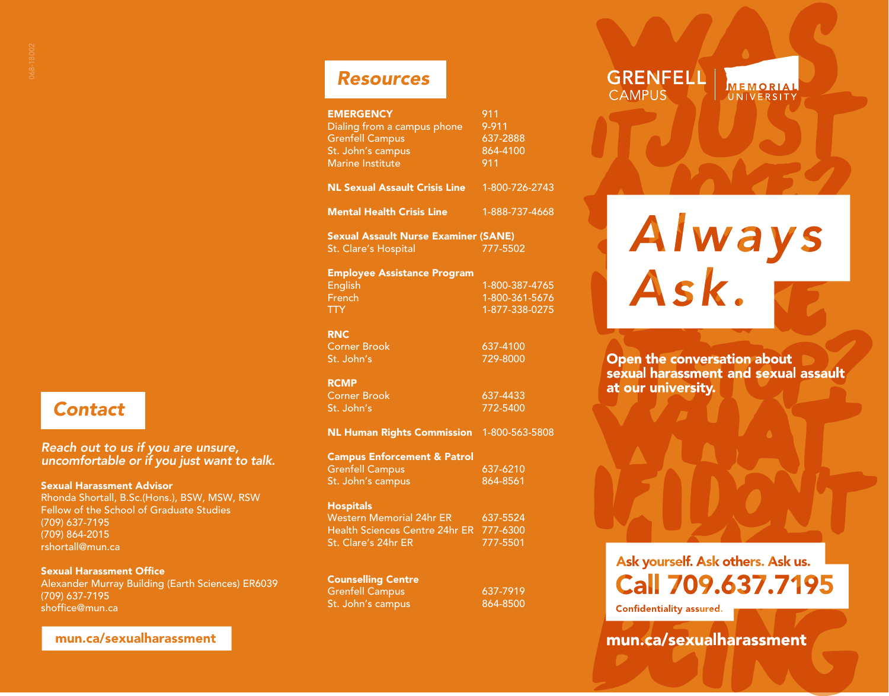## *Contact*

## *Reach out to us if you are unsure, uncomfortable or if you just want to talk.*

#### Sexual Harassment Advisor

Rhonda Shortall, B.Sc.(Hons.), BSW, MSW, RSW Fellow of the School of Graduate Studies (709) 637-7195 (709) 864-2015 rshortall@mun.ca

#### Sexual Harassment Office

Alexander Murray Building (Earth Sciences) ER6039 (709) 637-7195 shoffice@mun.ca

## mun.ca/sexualharassment

| <b>EMERGENCY</b><br>Dialing from a campus phone<br><b>Grenfell Campus</b><br>St. John's campus<br><b>Marine Institute</b> | 911<br>9-911<br>637-2888<br>864-4100<br>911        |
|---------------------------------------------------------------------------------------------------------------------------|----------------------------------------------------|
| <b>NL Sexual Assault Crisis Line</b>                                                                                      | 1-800-726-2743                                     |
| <b>Mental Health Crisis Line</b>                                                                                          | 1-888-737-4668                                     |
| <b>Sexual Assault Nurse Examiner (SANE)</b><br><b>St. Clare's Hospital</b>                                                | 777-5502                                           |
| <b>Employee Assistance Program</b><br>English<br>French<br>TTY .                                                          | 1-800-387-4765<br>1-800-361-5676<br>1-877-338-0275 |
| <b>RNC</b><br><b>Corner Brook</b><br>St. John's                                                                           | 637-4100<br>729-8000                               |
| <b>RCMP</b><br><b>Corner Brook</b><br>St. John's                                                                          | 637-4433<br>772-5400                               |

NL Human Rights Commission 1-800-563-5808

| <b>Campus Enforcement &amp; Patrol</b> |          |
|----------------------------------------|----------|
| Grenfell Campus                        | 637-6210 |
| St. John's campus                      | 864-8561 |

#### **Hospitals**

| Western Memorial 24hr ER                | 637-5524 |
|-----------------------------------------|----------|
| Health Sciences Centre 24hr ER 777-6300 |          |
| St. Clare's 24hr ER                     | 777-5501 |

## Counselling Centre

St. John's campus 864-8500

Grenfell Campus 637-7919

# Always<br>Ask.

MEMORIAL

UNIVERSITY

**GRENFELL** 

**CAMPUS** 

Open the conversation about sexual harassment and sexual assault at our university.

# Ask yourself. Ask others. Ask us. Call 709.637.7195

**Confidentiality assured.** 

mun.ca/sexualharassment